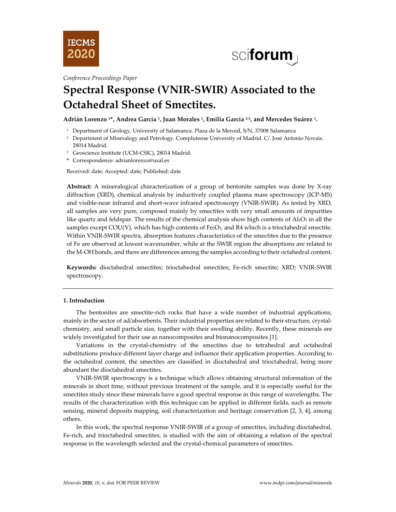



*Conference Proceedings Paper*

# **Spectral Response (VNIR-SWIR) Associated to the Octahedral Sheet of Smectites.**

**Adrián Lorenzo 1\*, Andrea García 1, Juan Morales 1, Emilia García 2-3, and Mercedes Suárez 1.**

- <sup>1</sup> Department of Geology, University of Salamanca. Plaza de la Merced, S/N, 37008 Salamanca
- <sup>2</sup> Department of Mineralogy and Petrology. Complutense University of Madrid. C/. José Antonio Novais. 28014 Madrid.
- <sup>3</sup> Geoscience Institute (UCM-CSIC), 28014 Madrid.
- **\*** Correspondence: adrianlorenzo@usal.es

Received: date; Accepted: date; Published: date

**Abstract:** A mineralogical characterization of a group of bentonite samples was done by X-ray diffraction (XRD), chemical analysis by inductively coupled plasma mass spectroscopy (ICP-MS) and visible-near infrared and short-wave infrared spectroscopy (VNIR-SWIR). As tested by XRD, all samples are very pure, composed mainly by smectites with very small amounts of impurities like quartz and feldspar. The results of the chemical analysis show high contents of  $ALO<sub>3</sub>$  in all the samples except COU(V), which has high contents of Fe2O3, and R4 which is a trioctahedral smectite. Within VNIR-SWIR spectra, absorption features characteristics of the smectites due to the presence of Fe are observed at lowest wavenumber, while at the SWIR region the absorptions are related to the M-OH bonds, and there are differences among the samples according to their octahedral content.

**Keywords:** dioctahedral smectites; trioctahedral smectites; Fe-rich smectite; XRD; VNIR-SWIR spectroscopy.

## **1. Introduction**

The bentonites are smectite-rich rocks that have a wide number of industrial applications, mainly in the sector of ad/absorbents. Their industrial properties are related to their structure, crystalchemistry, and small particle size, together with their swelling ability. Recently, these minerals are widely investigated for their use as nanocomposites and bionanocomposites [1].

Variations in the crystal-chemistry of the smectites due to tetrahedral and octahedral substitutions produce different layer charge and influence their application properties. According to the octahedral content, the smectites are classified in dioctahedral and trioctahedral, being more abundant the dioctahedral smectites.

VNIR-SWIR spectroscopy is a technique which allows obtaining structural information of the minerals in short time, without previous treatment of the sample, and it is especially useful for the smectites study since these minerals have a good spectral response in this range of wavelengths. The results of the characterization with this technique can be applied in different fields, such as remote sensing, mineral deposits mapping, soil characterization and heritage conservation [2, 3, 4], among others.

In this work, the spectral response VNIR-SWIR of a group of smectites, including dioctahedral, Fe-rich, and trioctahedral smectites, is studied with the aim of obtaining a relation of the spectral response in the wavelength selected and the crystal-chemical parameters of smectites.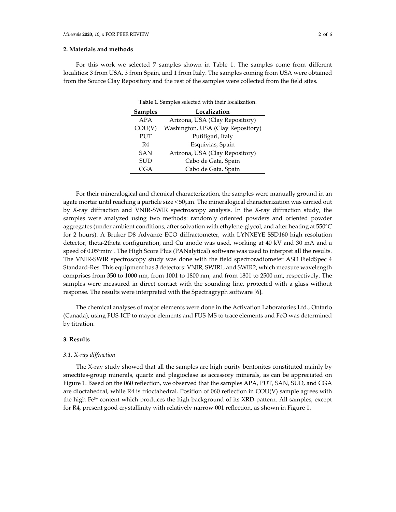## **2. Materials and methods**

For this work we selected 7 samples shown in Table 1. The samples come from different localities: 3 from USA, 3 from Spain, and 1 from Italy. The samples coming from USA were obtained from the Source Clay Repository and the rest of the samples were collected from the field sites.

**Table 1.** Samples selected with their localization.

| <b>Tuble 1:</b> Dampics screeted with them recampation. |                                   |  |  |  |  |  |  |  |  |
|---------------------------------------------------------|-----------------------------------|--|--|--|--|--|--|--|--|
| <b>Samples</b>                                          | Localization                      |  |  |  |  |  |  |  |  |
| APA                                                     | Arizona, USA (Clay Repository)    |  |  |  |  |  |  |  |  |
| COU(V)                                                  | Washington, USA (Clay Repository) |  |  |  |  |  |  |  |  |
| <b>PUT</b>                                              | Putifigari, Italy                 |  |  |  |  |  |  |  |  |
| R4                                                      | Esquivias, Spain                  |  |  |  |  |  |  |  |  |
| <b>SAN</b>                                              | Arizona, USA (Clay Repository)    |  |  |  |  |  |  |  |  |
| <b>SUD</b>                                              | Cabo de Gata, Spain               |  |  |  |  |  |  |  |  |
| CGA                                                     | Cabo de Gata, Spain               |  |  |  |  |  |  |  |  |

For their mineralogical and chemical characterization, the samples were manually ground in an agate mortar until reaching a particle size < 50µm. The mineralogical characterization was carried out by X-ray diffraction and VNIR-SWIR spectroscopy analysis. In the X-ray diffraction study, the samples were analyzed using two methods: randomly oriented powders and oriented powder aggregates (under ambient conditions, after solvation with ethylene-glycol, and after heating at 550°C for 2 hours). A Bruker D8 Advance ECO diffractometer, with LYNXEYE SSD160 high resolution detector, theta-2theta configuration, and Cu anode was used, working at 40 kV and 30 mA and a speed of 0.05°min<sup>-1</sup>. The High Score Plus (PANalytical) software was used to interpret all the results. The VNIR-SWIR spectroscopy study was done with the field spectroradiometer ASD FieldSpec 4 Standard-Res. This equipment has 3 detectors: VNIR, SWIR1, and SWIR2, which measure wavelength comprises from 350 to 1000 nm, from 1001 to 1800 nm, and from 1801 to 2500 nm, respectively. The samples were measured in direct contact with the sounding line, protected with a glass without response. The results were interpreted with the Spectragryph software [6].

The chemical analyses of major elements were done in the Activation Laboratories Ltd., Ontario (Canada), using FUS-ICP to mayor elements and FUS-MS to trace elements and FeO was determined by titration.

#### **3. Results**

## *3.1. X-ray diffraction*

The X-ray study showed that all the samples are high purity bentonites constituted mainly by smectites-group minerals, quartz and plagioclase as accessory minerals, as can be appreciated on Figure 1. Based on the 060 reflection, we observed that the samples APA, PUT, SAN, SUD, and CGA are dioctahedral, while R4 is trioctahedral. Position of 060 reflection in COU(V) sample agrees with the high Fe3+ content which produces the high background of its XRD-pattern. All samples, except for R4, present good crystallinity with relatively narrow 001 reflection, as shown in Figure 1.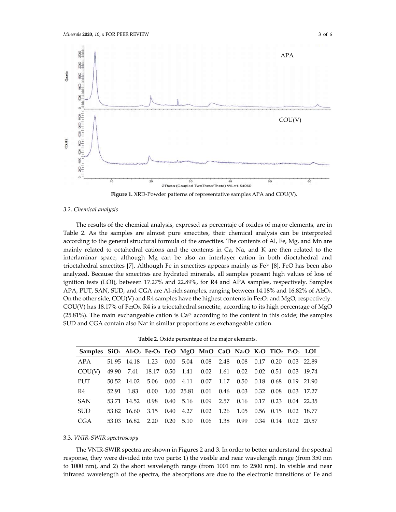

**Figure 1.** XRD-Powder patterns of representative samples APA and COU(V).

#### *3.2. Chemical analysis*

The results of the chemical analysis, expresed as percentaje of oxides of major elements, are in Table 2. As the samples are almost pure smectites, their chemical analysis can be interpreted according to the general structural formula of the smectites. The contents of Al, Fe, Mg, and Mn are mainly related to octahedral cations and the contents in Ca, Na, and K are then related to the interlaminar space, although Mg can be also an interlayer cation in both dioctahedral and trioctahedral smectites [7]. Although Fe in smectites appears mainly as Fe3+ [8], FeO has been also analyzed. Because the smectites are hydrated minerals, all samples present high values of loss of ignition tests (LOI), between 17.27% and 22.89%, for R4 and APA samples, respectively. Samples APA, PUT, SAN, SUD, and CGA are Al-rich samples, ranging between 14.18% and 16.82% of Al2O3. On the other side, COU(V) and R4 samples have the highest contents in Fe2O3 and MgO, respectively. COU(V) has  $18.17\%$  of Fe2O<sub>3</sub>. R4 is a trioctahedral smectite, according to its high percentage of MgO  $(25.81\%)$ . The main exchangeable cation is  $Ca<sup>2+</sup>$  according to the content in this oxide; the samples SUD and CGA contain also Na<sup>+</sup> in similar proportions as exchangeable cation.

**Table 2.** Oxide percentage of the major elements.

| Samples SiO <sub>2</sub> Al <sub>2</sub> O <sub>3</sub> Fe2O <sub>3</sub> FeO MgO MnO CaO Na2O K2O TiO <sub>2</sub> P <sub>2</sub> O <sub>5</sub> LOI |                                                                |                                                     |  |  |  |  |  |
|-------------------------------------------------------------------------------------------------------------------------------------------------------|----------------------------------------------------------------|-----------------------------------------------------|--|--|--|--|--|
| APA 51.95 14.18 1.23 0.00 5.04 0.08 2.48 0.08 0.17 0.20 0.03 22.89                                                                                    |                                                                |                                                     |  |  |  |  |  |
| COU(V)                                                                                                                                                | 49.90 7.41 18.17 0.50 1.41 0.02 1.61 0.02 0.02 0.51 0.03 19.74 |                                                     |  |  |  |  |  |
| <b>PUT</b>                                                                                                                                            | 50.52 14.02 5.06 0.00 4.11 0.07 1.17 0.50 0.18 0.68 0.19 21.90 |                                                     |  |  |  |  |  |
| R4                                                                                                                                                    | 52.91 1.83                                                     | 0.00 1.00 25.81 0.01 0.46 0.03 0.32 0.08 0.03 17.27 |  |  |  |  |  |
| <b>SAN</b>                                                                                                                                            | 53.71 14.52 0.98 0.40 5.16 0.09 2.57 0.16 0.17 0.23 0.04 22.35 |                                                     |  |  |  |  |  |
| <b>SUD</b>                                                                                                                                            | 53.82 16.60 3.15 0.40 4.27 0.02 1.26 1.05 0.56 0.15 0.02 18.77 |                                                     |  |  |  |  |  |
| <b>CGA</b>                                                                                                                                            | 53.03 16.82 2.20 0.20 5.10 0.06 1.38 0.99 0.34 0.14 0.02 20.57 |                                                     |  |  |  |  |  |

#### 3.3. *VNIR-SWIR spectroscopy*

The VNIR-SWIR spectra are shown in Figures 2 and 3. In order to better understand the spectral response, they were divided into two parts: 1) the visible and near wavelength range (from 350 nm to 1000 nm), and 2) the short wavelength range (from 1001 nm to 2500 nm). In visible and near infrared wavelength of the spectra, the absorptions are due to the electronic transitions of Fe and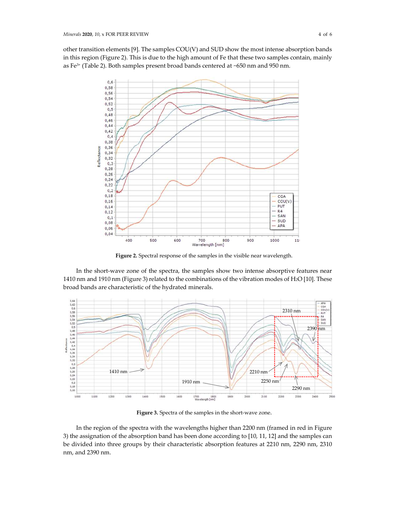other transition elements [9]. The samples COU(V) and SUD show the most intense absorption bands in this region (Figure 2). This is due to the high amount of Fe that these two samples contain, mainly as Fe3+ (Table 2). Both samples present broad bands centered at ~650 nm and 950 nm.



**Figure 2.** Spectral response of the samples in the visible near wavelength.

In the short-wave zone of the spectra, the samples show two intense absorptive features near 1410 nm and 1910 nm (Figure 3) related to the combinations of the vibration modes of H2O [10]. These broad bands are characteristic of the hydrated minerals.



**Figure 3.** Spectra of the samples in the short-wave zone.

In the region of the spectra with the wavelengths higher than 2200 nm (framed in red in Figure 3) the assignation of the absorption band has been done according to [10, 11, 12] and the samples can be divided into three groups by their characteristic absorption features at 2210 nm, 2290 nm, 2310 nm, and 2390 nm.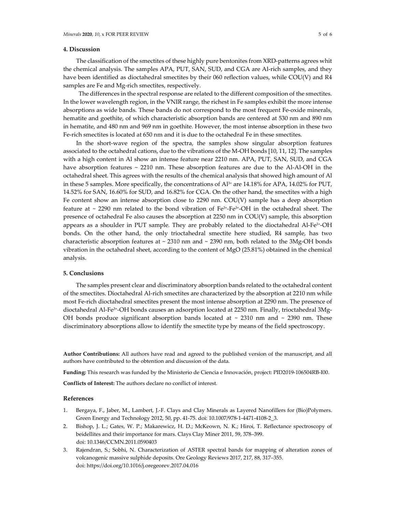## **4. Discussion**

The classification of the smectites of these highly pure bentonites from XRD-patterns agrees whit the chemical analysis. The samples APA, PUT, SAN, SUD, and CGA are Al-rich samples, and they have been identified as dioctahedral smectites by their 060 reflection values, while COU(V) and R4 samples are Fe and Mg-rich smectites, respectively.

The differences in the spectral response are related to the different composition of the smectites. In the lower wavelength region, in the VNIR range, the richest in Fe samples exhibit the more intense absorptions as wide bands. These bands do not correspond to the most frequent Fe-oxide minerals, hematite and goethite, of which characteristic absorption bands are centered at 530 nm and 890 nm in hematite, and 480 nm and 969 nm in goethite. However, the most intense absorption in these two Fe-rich smectites is located at 650 nm and it is due to the octahedral Fe in these smectites.

In the short-wave region of the spectra, the samples show singular absorption features associated to the octahedral cations, due to the vibrations of the M-OH bonds [10, 11, 12]. The samples with a high content in Al show an intense feature near 2210 nm. APA, PUT, SAN, SUD, and CGA have absorption features ~ 2210 nm. These absorption features are due to the Al-Al-OH in the octahedral sheet. This agrees with the results of the chemical analysis that showed high amount of Al in these 5 samples. More specifically, the concentrations of Al<sup>3+</sup> are 14.18% for APA, 14.02% for PUT, 14.52% for SAN, 16.60% for SUD, and 16.82% for CGA. On the other hand, the smectites with a high Fe content show an intense absorption close to 2290 nm. COU(V) sample has a deep absorption feature at  $\sim$  2290 nm related to the bond vibration of Fe<sup>3+</sup>-Fe<sup>3+</sup>-OH in the octahedral sheet. The presence of octahedral Fe also causes the absorption at 2250 nm in COU(V) sample, this absorption appears as a shoulder in PUT sample. They are probably related to the dioctahedral Al-Fe3+-OH bonds. On the other hand, the only trioctahedral smectite here studied, R4 sample, has two characteristic absorption features at  $\sim$  2310 nm and  $\sim$  2390 nm, both related to the 3Mg-OH bonds vibration in the octahedral sheet, according to the content of MgO (25.81%) obtained in the chemical analysis.

## **5. Conclusions**

The samples present clear and discriminatory absorption bands related to the octahedral content of the smectites. Dioctahedral Al-rich smectites are characterized by the absorption at 2210 nm while most Fe-rich dioctahedral smectites present the most intense absorption at 2290 nm. The presence of dioctahedral Al-Fe<sup>3+</sup>-OH bonds causes an adsorption located at 2250 nm. Finally, trioctahedral 3Mg-OH bonds produce significant absorption bands located at  $\sim$  2310 nm and  $\sim$  2390 nm. These discriminatory absorptions allow to identify the smectite type by means of the field spectroscopy.

**Author Contributions:** All authors have read and agreed to the published version of the manuscript, and all authors have contributed to the obtention and discussion of the data.

**Funding:** This research was funded by the Ministerio de Ciencia e Innovación, project: PID2019-106504RB-I00.

**Conflicts of Interest:** The authors declare no conflict of interest.

## **References**

- 1. Bergaya, F., Jaber, M., Lambert, J.-F. Clays and Clay Minerals as Layered Nanofillers for (Bio)Polymers. Green Energy and Technology 2012, 50, pp. 41-75. doi: 10.1007/978-1-4471-4108-2\_3.
- 2. Bishop, J. L.; Gates, W. P.; Makarewicz, H. D.; McKeown, N. K.; Hiroi, T. Reflectance spectroscopy of beidellites and their importance for mars. Clays Clay Miner 2011, 59, 378–399. doi: 10.1346/CCMN.2011.0590403
- 3. Rajendran, S.; Sobhi, N. Characterization of ASTER spectral bands for mapping of alteration zones of volcanogenic massive sulphide deposits. Ore Geology Reviews 2017, 217, 88, 317–355. doi: https://doi.org/10.1016/j.oregeorev.2017.04.016